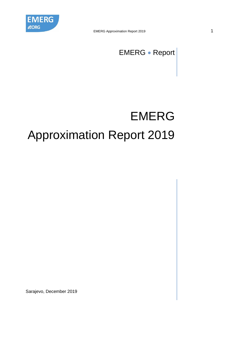

EMERG • Report

# EMERG Approximation Report 2019

Sarajevo, December 2019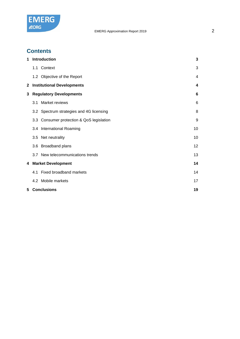

# **Contents**

| 1                    |  | Introduction                              | 3  |  |  |
|----------------------|--|-------------------------------------------|----|--|--|
|                      |  | 1.1 Context                               | 3  |  |  |
|                      |  | 1.2 Objective of the Report               | 4  |  |  |
| 2                    |  | <b>Institutional Developments</b>         | 4  |  |  |
| 3                    |  | <b>Regulatory Developments</b>            | 6  |  |  |
|                      |  | 3.1 Market reviews                        | 6  |  |  |
|                      |  | 3.2 Spectrum strategies and 4G licensing  | 8  |  |  |
|                      |  | 3.3 Consumer protection & QoS legislation | 9  |  |  |
|                      |  | 3.4 International Roaming                 | 10 |  |  |
|                      |  | 3.5 Net neutrality                        | 10 |  |  |
|                      |  | 3.6 Broadband plans                       | 12 |  |  |
|                      |  | 3.7 New telecommunications trends         | 13 |  |  |
| 4 Market Development |  |                                           |    |  |  |
|                      |  | 4.1 Fixed broadband markets               | 14 |  |  |
|                      |  | 4.2 Mobile markets                        | 17 |  |  |
|                      |  | <b>5 Conclusions</b>                      | 19 |  |  |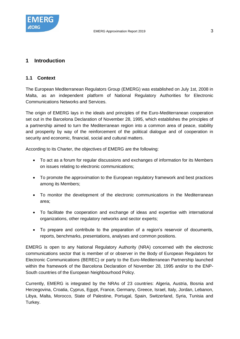

## <span id="page-2-0"></span>**1 Introduction**

#### <span id="page-2-1"></span>**1.1 Context**

The European Mediterranean Regulators Group (EMERG) was established on July 1st, 2008 in Malta, as an independent platform of National Regulatory Authorities for Electronic Communications Networks and Services.

The origin of EMERG lays in the ideals and principles of the Euro-Mediterranean cooperation set out in the Barcelona Declaration of November 28, 1995, which establishes the principles of a partnership aimed to turn the Mediterranean region into a common area of peace, stability and prosperity by way of the reinforcement of the political dialogue and of cooperation in security and economic, financial, social and cultural matters.

According to its Charter, the objectives of EMERG are the following:

- To act as a forum for regular discussions and exchanges of information for its Members on issues relating to electronic communications;
- To promote the approximation to the European regulatory framework and best practices among its Members;
- To monitor the development of the electronic communications in the Mediterranean area;
- To facilitate the cooperation and exchange of ideas and expertise with international organizations, other regulatory networks and sector experts;
- To prepare and contribute to the preparation of a region's reservoir of documents, reports, benchmarks, presentations, analyses and common positions.

EMERG is open to any National Regulatory Authority (NRA) concerned with the electronic communications sector that is member of or observer in the Body of European Regulators for Electronic Communications (BEREC) or party to the Euro-Mediterranean Partnership launched within the framework of the Barcelona Declaration of November 28, 1995 and/or to the ENP-South countries of the European Neighbourhood Policy.

Currently, EMERG is integrated by the NRAs of 23 countries: Algeria, Austria, Bosnia and Herzegovina, Croatia, Cyprus, Egypt, France, Germany, Greece, Israel, Italy, Jordan, Lebanon, Libya, Malta, Morocco, State of Palestine, Portugal, Spain, Switzerland, Syria, Tunisia and Turkey.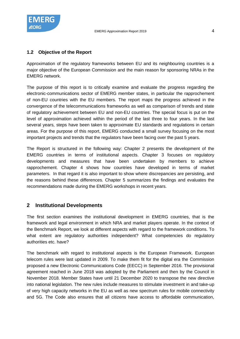

# <span id="page-3-0"></span>**1.2 Objective of the Report**

Approximation of the regulatory frameworks between EU and its neighbouring countries is a major objective of the European Commission and the main reason for sponsoring NRAs in the EMERG network.

The purpose of this report is to critically examine and evaluate the progress regarding the electronic-communications sector of EMERG member states, in particular the rapprochement of non-EU countries with the EU members. The report maps the progress achieved in the convergence of the telecommunications frameworks as well as comparison of trends and state of regulatory achievement between EU and non-EU countries. The special focus is put on the level of approximation achieved within the period of the last three to four years. In the last several years, steps have been taken to approximate EU standards and regulations in certain areas. For the purpose of this report, EMERG conducted a small survey focusing on the most important projects and trends that the regulators have been facing over the past 5 years.

The Report is structured in the following way: Chapter 2 presents the development of the EMERG countries in terms of institutional aspects. Chapter 3 focuses on regulatory developments and measures that have been undertaken by members to achieve rapprochement. Chapter 4 shows how countries have developed in terms of market parameters. In that regard it is also important to show where discrepancies are persisting, and the reasons behind these differences. Chapter 5 summarizes the findings and evaluates the recommendations made during the EMERG workshops in recent years.

# <span id="page-3-1"></span>**2 Institutional Developments**

The first section examines the institutional development in EMERG countries, that is the framework and legal environment in which NRA and market players operate. In the context of the Benchmark Report, we look at different aspects with regard to the framework conditions. To what extent are regulatory authorities independent? What competencies do regulatory authorities etc. have?

The benchmark with regard to institutional aspects is the European Framework. European telecom rules were last updated in 2009. To make them fit for the digital era the Commission proposed a new Electronic Communications Code (EECC) in September 2016. The provisional agreement reached in June 2018 was adopted by the Parliament and then by the Council in November 2018. Member States have until 21 December 2020 to transpose the new directive into national legislation. The new rules include measures to stimulate investment in and take-up of very high capacity networks in the EU as well as new spectrum rules for mobile connectivity and 5G. The Code also ensures that all citizens have access to affordable communication,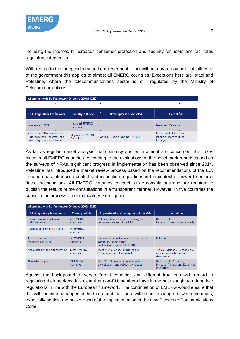

including the internet. It increases consumer protection and security for users and facilitates regulatory intervention.

With regard to the independency and empowerment to act without day-to-day political influence of the government this applies to almost all EMERG countries. Exceptions here are Israel and Palestine, where the telecommunications sector is still regulated by the Ministry of Telecommunications.

|                 |                                        |                                | Alignment with EU Framework Directive 2009/140/EC |                          |  |                               |  |                             |                   |  |
|-----------------|----------------------------------------|--------------------------------|---------------------------------------------------|--------------------------|--|-------------------------------|--|-----------------------------|-------------------|--|
|                 |                                        |                                |                                                   |                          |  |                               |  |                             |                   |  |
|                 |                                        | <b>EU Regulatory Framework</b> |                                                   | <b>Country fulfilled</b> |  | <b>Development since 2014</b> |  |                             | <b>Exceptions</b> |  |
| Independent NRA | the control of the control of the con- |                                | Countries                                         | Nearly all EMERG         |  |                               |  | <b>Israel and Palestine</b> |                   |  |
|                 |                                        |                                |                                                   |                          |  |                               |  |                             |                   |  |

As far as regular market analysis, transparency and enforcement are concerned, this takes place in all EMERG countries. According to the evaluations of the benchmark reports based on the surveys of NRAs, significant progress in implementation has been observed since 2014. Palestine has introduced a market review process based on the recommendations of the EU. Lebanon has introduced control and inspection regulations in the context of power to enforce fines and sanctions. All EMERG countries conduct public consulations and are required to publish the results of the consultations in a transparent manner. However, in five countries the consultation process is not mandatory (see figure).

| Alignment with EU Framework Directive 2009/140/EC         |                                |                                                                                                       |                                                                        |  |  |  |  |
|-----------------------------------------------------------|--------------------------------|-------------------------------------------------------------------------------------------------------|------------------------------------------------------------------------|--|--|--|--|
| <b>EU Requlatory Framework</b>                            | <b>Country fulfilled</b>       | <b>Approximation development since 2014</b>                                                           | <b>Exceptions</b>                                                      |  |  |  |  |
| Ex-ante market regulations &<br><b>SMP</b> identification | <b>AII EMERG</b><br>countries  | Palestine (market review following the<br>recommendations of the EU)                                  | Switzerland<br>Lebanon (currently not applied)                         |  |  |  |  |
| Request of information rights                             | <b>AII EMERG</b><br>countries  | $\overline{\phantom{0}}$                                                                              |                                                                        |  |  |  |  |
| Power to enforce fines and<br>monetary sanctions          | All FMFRG<br>countries         | Lebanon (control/inspection requlations)<br>Eqypt (3% of net sales)<br>Jordan (fines up to 200.00 JD) | <b>Palestine</b>                                                       |  |  |  |  |
| Accountability and transparency                           | <b>Most EMERG</b><br>countries | Most NRA are accountable before<br>Government and Parliament                                          | Tunisia, Morocco, Lebanon are<br>only accountable before<br>Government |  |  |  |  |
| <b>Consultation process</b>                               | All EMERG<br>countries         | All EMERG countries conduct public<br>consultations and publish the results                           | Switzerland, Palestine.<br>Morocco, Tunisia and Egypt not<br>mandatory |  |  |  |  |

Against the background of very different countries and different traditions with regard to regulating their markets, it is clear that non-EU members have in the past sought to adapt their regulations in line with the European framework. The continuation of EMERG would ensure that this will continue to happen in the future and that there will be an exchange between members, especially against the background of the implementation of the new Electronic Communications Code.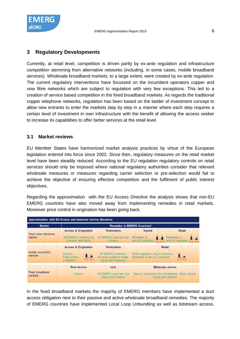

## <span id="page-5-0"></span>**3 Regulatory Developments**

Currently, at retail level, competition is driven partly by ex-ante regulation and infrastructure competition stemming from alternative networks (including, in some cases, mobile broadband services). Wholesale broadband markets, to a large extent, were created by ex-ante regulation. The current regulatory interventions have focussed on the incumbent operators copper and now fibre networks which are subject to regulation with very few exceptions. This led to a creation of service based competition in the fixed broadband markets. As regards the traditional copper telephone networks, regulation has been based on the ladder of investment concept to allow new entrants to enter the markets step by step in a manner where each step requires a certain level of investment in own infrastructure with the benefit of allowing the access seeker to increase its capabilities to offer better services at the retail level.

#### <span id="page-5-1"></span>**3.1 Market reviews**

EU Member States have harmonized market analysis practices by virtue of the European legislation entered into force since 2002. Since then, regulatory measures on the retail market level have been steadily reduced. According to the EU regulation regulatory controls on retail services should only be imposed where national regulatory authorities consider that relevant wholesale measures or measures regarding carrier selection or pre-selection would fail to achieve the objective of ensuring effective competition and the fulfilment of public interest objectives.

Regarding the approximation with the EU Access Directive the analysis shows that non-EU EMERG countries have also moved away from implementing remedies in retail markets. Moreover price control in origination has been going back.

| Approximation with EU Access and universal service directives |                                          |                                                                                 |  |                                                                                 |                                                                                          |                                                                                                      |  |  |  |
|---------------------------------------------------------------|------------------------------------------|---------------------------------------------------------------------------------|--|---------------------------------------------------------------------------------|------------------------------------------------------------------------------------------|------------------------------------------------------------------------------------------------------|--|--|--|
| <b>Market</b>                                                 |                                          |                                                                                 |  |                                                                                 | <b>Remedies in EMERG Countries*</b>                                                      |                                                                                                      |  |  |  |
| <b>Fixed voice telephony</b><br>market                        |                                          | <b>Access &amp; Origination</b><br>All EMERG countries but<br>Lebanon and Malta |  | <b>Termination</b><br>All EMERG countries but Remedies in<br>Lebanon            | <b>Transit</b><br>non-EU countries:                                                      | <b>Retail</b><br>Remedies in<br>non-EU countries:<br>014 2018                                        |  |  |  |
| Mobile voice/SMS<br>markets                                   | Majority.<br>Price control:<br>in EMERG: | <b>Access &amp; Origination</b><br>, II., 11.<br>2014 2018                      |  | <b>Termination</b><br>No price control in Israel,<br><b>Eqypt and Palestine</b> | All EMERG countries, Retail regulation only in Morocco,<br>Remedies in non-EU countries: | <b>Retail</b><br>4 H<br>2014 2018                                                                    |  |  |  |
| <b>Fixed broadband</b><br>markets                             |                                          | <b>Duct Access</b><br><b>Majority</b>                                           |  | LLU<br>All EMERG countries, but<br>Eavot and Lebanon                            |                                                                                          | <b>Bitstream access</b><br>Majority, exceptions are Switzerland, Malta, Bosnia,<br>Eavot and Lebanon |  |  |  |

In the fixed broadband markets the majority of EMERG members have implemented a duct access obligation next to their passive and active wholesale broadband remedies. The majority of EMERG countries have implemented Local Loop Unbundling as well as bitstream access.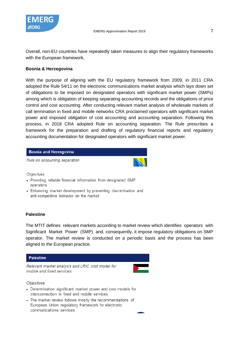

Overall, non-EU countries have repeatedly taken measures to align their regulatory frameworks with the European framework.

#### **Bosnia & Herzegovina**

With the purpose of aligning with the EU regulatory framework from 2009, in 2011 CRA adopted the Rule 54/11 on the electronic communications market analysis which lays down set of obligations to be imposed on designated operators with significant market power (SMPs) among which is obligation of keeping separating accounting records and the obligations of price control and cost accounting. After conducting relevant market analysis of wholesale markets of call termination in fixed and mobile networks CRA proclaimed operators with significant market power and imposed obligation of cost accounting and accounting separation. Following this process, in 2018 CRA adopted Rule on accounting separation. The Rule prescribes a framework for the preparation and drafting of regulatory financial reports and regulatory accounting documentation for designated operators with significant market power.

#### **Bosnia and Herzegovina**

Rule on accounting separation



Objectives

- Providing reliable financial information from designated SMP operators
- Enhancing market development by preventing discrimination and anti-competitive behavior on the market

#### **Palestine**

The MTIT defines relevant markets according to market review which identifies operators with Significant Market Power (SMP) and, consequently, it impose regulatory obligations on SMP operator. The market review is conducted on a periodic basis and the process has been aligned to the European practice.

#### **Palestine**

Relevant market analysis and LRIC cost model for mobile and fixed services



Objectives

- Determination significant market power and cost models for interconnection in fixed and mobile services
- The market review follows mostly the recommendations of European Union regulatory framework for electronic communications services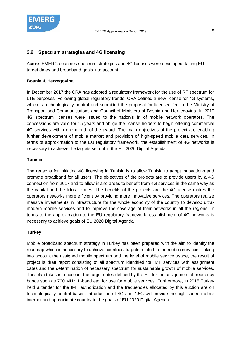

## <span id="page-7-0"></span>**3.2 Spectrum strategies and 4G licensing**

Across EMERG countries spectrum strategies and 4G licenses were developed, taking EU target dates and broadband goals into account.

#### **Bosnia & Herzegovina**

In December 2017 the CRA has adopted a regulatory framework for the use of RF spectrum for LTE purposes. Following global regulatory trends, CRA defined a new license for 4G systems, which is technologically neutral and submitted the proposal for licensee fee to the Ministry of Transport and Communications and Council of Ministers of Bosnia and Herzegovina. In 2019 4G spectrum licenses were issued to the nation's tri of mobile network operators. The concessions are valid for 15 years and oblige the license holders to begin offering commercial 4G services within one month of the award. The main objectives of the project are enabling further development of mobile market and provision of high-speed mobile data services. In terms of approximation to the EU regulatory framework, the establishment of 4G networks is necessary to achieve the targets set out in the EU 2020 Digital Agenda.

#### **Tunisia**

The reasons for initiating 4G licensing in Tunisia is to allow Tunisia to adopt innovations and promote broadband for all users. The objectives of the projects are to provide users by a 4G connection from 2017 and to allow inland areas to benefit from 4G services in the same way as the capital and the littoral zones. The benefits of the projects are the 4G license makes the operators networks more efficient by providing more innovative services. The operators realize massive investments in infrastructure for the whole economy of the country to develop ultramodern mobile services and to improve the coverage of their networks in all the regions. In terms to the approximation to the EU regulatory framework, establishment of 4G networks is necessary to achieve goals of EU 2020 Digital Agenda

#### **Turkey**

Mobile broadband spectrum strategy in Turkey has been prepared with the aim to identify the roadmap which is necessary to achieve countries' targets related to the mobile services. Taking into account the assigned mobile spectrum and the level of mobile service usage, the result of project is draft report consisting of all spectrum identified for IMT services with assignment dates and the determination of necessary spectrum for sustainable growth of mobile services. This plan takes into account the target dates defined by the EU for the assignment of frequency bands such as 700 MHz, L-band etc. for use for mobile services. Furthermore, in 2015 Turkey held a tender for the IMT authorization and the frequencies allocated by this auction are on technologically neutral bases. Introduction of 4G and 4.5G will provide the high speed mobile internet and approximate country to the goals of EU 2020 Digital Agenda.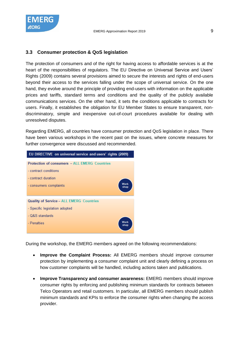

#### <span id="page-8-0"></span>**3.3 Consumer protection & QoS legislation**

The protection of consumers and of the right for having access to affordable services is at the heart of the responsibilities of regulators. The EU Directive on Universal Service and Users' Rights (2009) contains several provisions aimed to secure the interests and rights of end-users beyond their access to the services falling under the scope of universal service. On the one hand, they evolve around the principle of providing end-users with information on the applicable prices and tariffs, standard terms and conditions and the quality of the publicly available communications services. On the other hand, it sets the conditions applicable to contracts for users. Finally, it establishes the obligation for EU Member States to ensure transparent, nondiscriminatory, simple and inexpensive out-of-court procedures available for dealing with unresolved disputes.

Regarding EMERG, all countries have consumer protection and QoS legislation in place. There have been various workshops in the recent past on the issues, where concrete measures for further convergence were discussed and recommended.



During the workshop, the EMERG members agreed on the following recommendations:

- **Improve the Complaint Process:** All EMERG members should improve consumer protection by implementing a consumer complaint unit and clearly defining a process on how customer complaints will be handled, including actions taken and publications.
- **Improve Transparency and consumer awareness:** EMERG members should improve consumer rights by enforcing and publishing minimum standards for contracts between Telco Operators and retail customers. In particular, all EMERG members should publish minimum standards and KPIs to enforce the consumer rights when changing the access provider.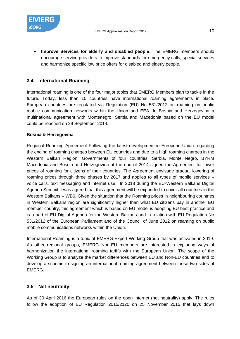

• **Improve Services for elderly and disabled people:** The EMERG members should encourage service providers to improve standards for emergency calls, special services and harmonize specific low price offers for disabled and elderly people.

## <span id="page-9-0"></span>**3.4 International Roaming**

International roaming is one of the four major topics that EMERG Members plan to tackle in the future. Today, less than 10 countries have international roaming agreements in place. European countries are regulated via Regulation (EU) No 531/2012 on roaming on public mobile communication networks within the Union and EEA. In Bosnia and Herzegovina a multinational agreement with Montenegro, Serbia and Macedonia based on the EU model could be reached on 29 September 2014.

#### **Bosnia & Herzegovina**

Regional Roaming Agreement Following the latest development in European Union regarding the ending of roaming charges between EU countries and due to a high roaming charges in the Western Balkan Region, Governments of four countries: Serbia, Monte Negro, BYRM Macedonia and Bosnia and Herzegovina at the end of 2014 signed the Agreement for lower prices of roaming for citizens of their countries. The Agreement envisage gradual lowering of roaming prices through three phases by 2017 and applies to all types of mobile services – voice calls, text messaging and internet use. In 2018 during the EU-Western Balkans Digital Agenda Summit it was agreed that this agreement will be expanded to cover all countries in the Western Balkans – WB6. Given the situation that the Roaming prices in neighbouring countries in Western Balkans region are significantly higher than what EU citizens pay in another EU member country, this agreement which is based on EU model is adopting EU best practice and is a part of EU Digital Agenda for the Western Balkans and in relation with EU Regulation No 531/2012 of the European Parliament and of the Council of June 2012 on reaming on public mobile communications networks within the Union.

International Roaming is a topic of EMERG Expert Working Group that was activated in 2019. As other regional groups, EMERG Non-EU members are interested in exploring ways of harmonization the international roaming tariffs with the European Union. The scope of the Working Group is to analyze the market differences between EU and Non-EU countries and to develop a scheme to signing an international roaming agreement between these two sides of EMERG.

#### <span id="page-9-1"></span>**3.5 Net neutrality**

As of 30 April 2016 the European rules on the open internet (net neutrality) apply. The rules follow the adoption of EU Regulation 2015/2120 on 25 November 2015 that lays down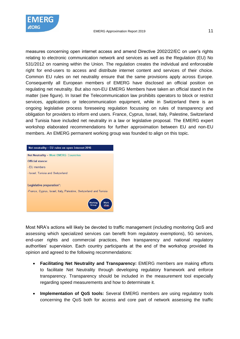

measures concerning open internet access and amend Directive 2002/22/EC on user's rights relating to electronic communication network and services as well as the Regulation (EU) No 531/2012 on roaming within the Union. The regulation creates the individual and enforceable right for end-users to access and distribute internet content and services of their choice. Common EU rules on net neutrality ensure that the same provisions apply across Europe. Consequently all European members of EMERG have disclosed an official position on regulating net neutrality. But also non-EU EMERG Members have taken an official stand in the matter (see figure). In Israel the Telecommunication law prohibits operators to block or restrict services, applications or telecommunication equipment, while in Switzerland there is an ongoing legislative process foreseeing regulation focussing on rules of transparency and obligation for providers to inform end users. France, Cyprus, Israel, Italy, Palestine, Switzerland and Tunisia have included net neutrality in a law or legislative proposal. The EMERG expert workshop elaborated recommendations for further approximation between EU and non-EU members. An EMERG permanent working group was founded to align on this topic.



Most NRA's actions will likely be devoted to traffic management (including monitoring QoS and assessing which specialized services can benefit from regulatory exemptions), 5G services, end-user rights and commercial practices, then transparency and national regulatory authorities' supervision. Each country participants at the end of the workshop provided its opinion and agreed to the following recommendations:

- **Facilitating Net Neutrality and Transparency:** EMERG members are making efforts to facilitate Net Neutrality through developing regulatory framework and enforce transparency. Transparency should be included in the measurement tool especially regarding speed measurements and how to determinate it.
- **Implementation of QoS tools:** Several EMERG members are using regulatory tools concerning the QoS both for access and core part of network assessing the traffic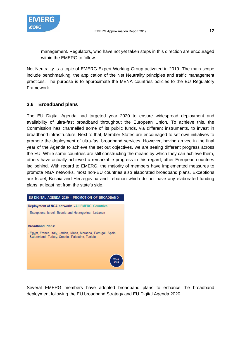

management. Regulators, who have not yet taken steps in this direction are encouraged within the EMERG to follow.

Net Neutrality is a topic of EMERG Expert Working Group activated in 2019. The main scope include benchmarking, the application of the Net Neutrality principles and traffic management practices. The purpose is to approximate the MENA countries policies to the EU Regulatory Framework.

# <span id="page-11-0"></span>**3.6 Broadband plans**

The EU Digital Agenda had targeted year 2020 to ensure widespread deployment and availability of ultra-fast broadband throughout the European Union. To achieve this, the Commission has channelled some of its public funds, via different instruments, to invest in broadband infrastructure. Next to that, Member States are encouraged to set own initiatives to promote the deployment of ultra-fast broadband services. However, having arrived in the final year of the Agenda to achieve the set out objectives, we are seeing different progress across the EU. While some countries are still constructing the means by which they can achieve them, others have actually achieved a remarkable progress in this regard, other European countries lag behind. With regard to EMERG, the majority of members have implemented measures to promote NGA networks, most non-EU countries also elaborated broadband plans. Exceptions are Israel, Bosnia and Herzegovina and Lebanon which do not have any elaborated funding plans, at least not from the state's side.



Several EMERG members have adopted broadband plans to enhance the broadband deployment following the EU broadband Strategy and EU Digital Agenda 2020.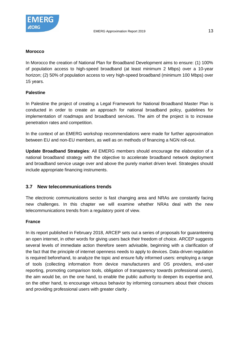

#### **Morocco**

In Morocco the creation of National Plan for Broadband Development aims to ensure: (1) 100% of population access to high-speed broadband (at least minimum 2 Mbps) over a 10-year horizon; (2) 50% of population access to very high-speed broadband (minimum 100 Mbps) over 15 years.

## **Palestine**

In Palestine the project of creating a Legal Framework for National Broadband Master Plan is conducted in order to create an approach for national broadband policy, guidelines for implementation of roadmaps and broadband services. The aim of the project is to increase penetration rates and competition.

In the context of an EMERG workshop recommendations were made for further approximation between EU and non-EU members, as well as on methods of financing a NGN roll-out.

**Update Broadband Strategies**: All EMERG members should encourage the elaboration of a national broadband strategy with the objective to accelerate broadband network deployment and broadband service usage over and above the purely market driven level. Strategies should include appropriate financing instruments.

## <span id="page-12-0"></span>**3.7 New telecommunications trends**

The electronic communications sector is fast changing area and NRAs are constantly facing new challenges. In this chapter we will examine whether NRAs deal with the new telecommunications trends from a regulatory point of view.

## **France**

In its report published in February 2018, ARCEP sets out a series of proposals for guaranteeing an open internet, in other words for giving users back their freedom of choice. ARCEP suggests several levels of immediate action therefore seem advisable, beginning with a clarification of the fact that the principle of internet openness needs to apply to devices. Data-driven regulation is required beforehand, to analyze the topic and ensure fully informed users: employing a range of tools (collecting information from device manufacturers and OS providers, end-user reporting, promoting comparison tools, obligation of transparency towards professional users), the aim would be, on the one hand, to enable the public authority to deepen its expertise and, on the other hand, to encourage virtuous behavior by informing consumers about their choices and providing professional users with greater clarity .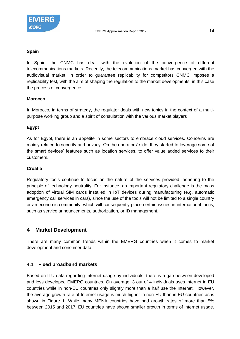

In Spain, the CNMC has dealt with the evolution of the convergence of different telecommunications markets. Recently, the telecommunications market has converged with the audiovisual market. In order to guarantee replicability for competitors CNMC imposes a replicability test, with the aim of shaping the regulation to the market developments, in this case the process of convergence.

#### **Morocco**

In Morocco, in terms of strategy, the regulator deals with new topics in the context of a multipurpose working group and a spirit of consultation with the various market players

#### **Egypt**

As for Egypt, there is an appetite in some sectors to embrace cloud services. Concerns are mainly related to security and privacy. On the operators' side, they started to leverage some of the smart devices' features such as location services, to offer value added services to their customers.

#### **Croatia**

Regulatory tools continue to focus on the nature of the services provided, adhering to the principle of technology neutrality. For instance, an important regulatory challenge is the mass adoption of virtual SIM cards installed in IoT devices during manufacturing (e.g. automatic emergency call services in cars), since the use of the tools will not be limited to a single country or an economic community, which will consequently place certain issues in international focus, such as service announcements, authorization, or ID management.

## <span id="page-13-0"></span>**4 Market Development**

There are many common trends within the EMERG countries when it comes to market development and consumer data.

#### <span id="page-13-1"></span>**4.1 Fixed broadband markets**

Based on ITU data regarding Internet usage by individuals, there is a gap between developed and less developed EMERG countries. On average, 3 out of 4 individuals uses internet in EU countries while in non-EU countries only slightly more than a half use the Internet. However, the average growth rate of Internet usage is much higher in non-EU than in EU countries as is shown in [Figure 1.](#page-14-0) While many MENA countries have had growth rates of more than 5% between 2015 and 2017, EU countries have shown smaller growth in terms of internet usage.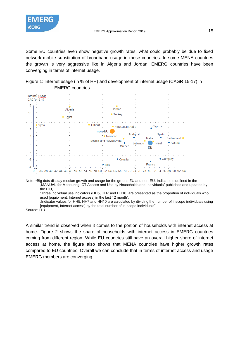

Some EU countries even show negative growth rates, what could probably be due to fixed network mobile substitution of broadband usage in these countries. In some MENA countries the growth is very aggressive like in Algeria and Jordan. EMERG countries have been converging in terms of internet usage.

<span id="page-14-0"></span>



Note: \*Big dots display median growth and usage for the groups EU and non-EU. Indicator is defined in the "MANUAL for Measuring ICT Access and Use by Households and Individuals" published and updated by the ITU,

"Three individual use indicators (HH5, HH7 and HH10) are presented as the proportion of individuals who used [equipment, Internet access] in the last 12 month",

"Indicator values for HH5, HH7 and HH10 are calculated by dividing the number of inscope individuals using [equipment, Internet access] by the total number of in-scope individuals".

Source: ITU.

A similar trend is observed when it comes to the portion of households with internet access at home. [Figure 2](#page-15-0) shows the share of households with internet access in EMERG countries coming from different region. While EU countries still have an overall higher share of internet access at home, the figure also shows that MENA countries have higher growth rates compared to EU countries. Overall we can conclude that in terms of internet access and usage EMERG members are converging.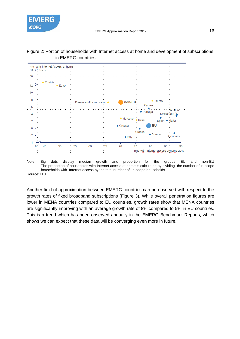



#### <span id="page-15-0"></span>Figure 2: Portion of households with Internet access at home and development of subscriptions in EMERG countries



Another field of approximation between EMERG countries can be observed with respect to the growth rates of fixed broadband subscriptions [\(Figure 3\)](#page-16-1). While overall penetration figures are lower in MENA countries compared to EU countries, growth rates show that MENA countries are significantly improving with an average growth rate of 8% compared to 5% in EU countries. This is a trend which has been observed annually in the EMERG Benchmark Reports, which shows we can expect that these data will be converging even more in future.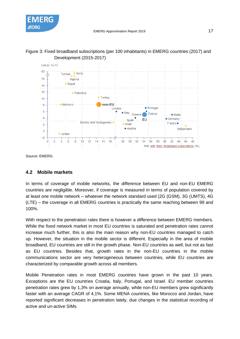



<span id="page-16-1"></span>

Source: EMERG.

## <span id="page-16-0"></span>**4.2 Mobile markets**

In terms of coverage of mobile networks, the difference between EU and non-EU EMERG countries are negligible. Moreover, if coverage is measured in terms of population covered by at least one mobile network – whatever the network standard used (2G (GSM), 3G (UMTS), 4G (LTE) – the coverage in all EMERG countries is practically the same reaching between 99 and 100%.

With respect to the penetration rates there is however a difference between EMERG members. While the fixed network market in most EU countries is saturated and penetration rates cannot increase much further, this is also the main reason why non-EU countries managed to catch up. However, the situation in the mobile sector is different. Especially in the area of mobile broadband, EU countries are still in the growth phase. Non-EU countries as well, but not as fast as EU countries. Besides that, growth rates in the non-EU countries in the mobile communications sector are very heterogeneous between countries, while EU countries are characterized by comparable growth across all members.

Mobile Penetration rates in most EMERG countries have grown in the past 10 years. Exceptions are the EU countries Croatia, Italy, Portugal, and Israel. EU member countries penetration rates grew by 1,3% on average annually, while non-EU members grew significantly faster with an average CAGR of 4,1%. Some MENA countries, like Morocco and Jordan, have reported significant decreases in penetration lately, due changes in the statistical recording of active and un-active SIMs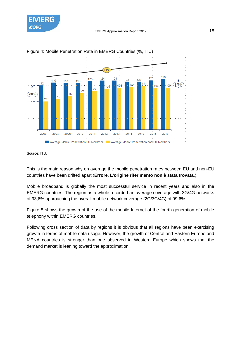



Figure 4: Mobile Penetration Rate in EMERG Countries (%, ITU)

Source: ITU.

This is the main reason why on average the mobile penetration rates between EU and non-EU countries have been drifted apart (**Errore. L'origine riferimento non è stata trovata.**).

Mobile broadband is globally the most successful service in recent years and also in the EMERG countries. The region as a whole recorded an average coverage with 3G/4G networks of 93,6% approaching the overall mobile network coverage (2G/3G/4G) of 99,6%.

[Figure 5](#page-18-1) shows the growth of the use of the mobile Internet of the fourth generation of mobile telephony within EMERG countries.

Following cross section of data by regions it is obvious that all regions have been exercising growth in terms of mobile data usage. However, the growth of Central and Eastern Europe and MENA countries is stronger than one observed in Western Europe which shows that the demand market is leaning toward the approximation.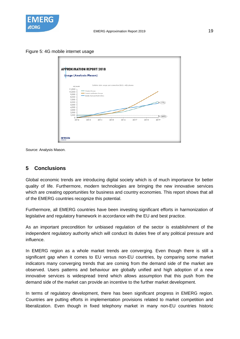

<span id="page-18-1"></span>Figure 5: 4G mobile internet usage



Source: Analysis Mason.

### <span id="page-18-0"></span>**5 Conclusions**

Global economic trends are introducing digital society which is of much importance for better quality of life. Furthermore, modern technologies are bringing the new innovative services which are creating opportunities for business and country economies. This report shows that all of the EMERG countries recognize this potential.

Furthermore, all EMERG countries have been investing significant efforts in harmonization of legislative and regulatory framework in accordance with the EU and best practice.

As an important precondition for unbiased regulation of the sector is establishment of the independent regulatory authority which will conduct its duties free of any political pressure and influence.

In EMERG region as a whole market trends are converging. Even though there is still a significant gap when it comes to EU versus non-EU countries, by comparing some market indicators many converging trends that are coming from the demand side of the market are observed. Users patterns and behaviour are globally unified and high adoption of a new innovative services is widespread trend which allows assumption that this push from the demand side of the market can provide an incentive to the further market development.

In terms of regulatory development, there has been significant progress in EMERG region. Countries are putting efforts in implementation provisions related to market competition and liberalization. Even though in fixed telephony market in many non-EU countries historic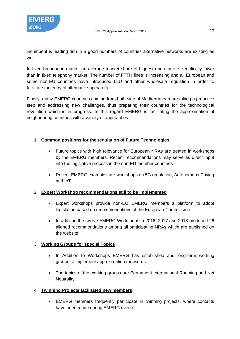incumbent is leading firm in a good numbers of countries alternative networks are existing as well.

In fixed broadband market an average market share of biggest operator is scientifically lower than in fixed telephony market. The number of FTTH lines is increasing and all European and some non-EU countries have introduced LLU and other wholesale regulation in order to facilitate the entry of alternative operators.

Finally, many EMERG countries coming from both side of Mediterranean are taking a proactive step and addressing new challenges, thus preparing their countries for the technological revolution which is in progress. In this regard EMERG is facilitating the approximation of neighbouring countries with a variety of approaches:

## 1. **Common positions for the regulation of Future Technologies:**

- Future topics with high relevance for European NRAs are treated in workshops by the EMERG members. Recent recommendations may serve as direct input into the legislative process in the non-EU member countries
- Recent EMERG examples are workshops on 5G regulation, Autonomous Driving and IoT.

## 2. **Expert Workshop recommendations still to be implemented**

- Expert workshops provide non-EU EMERG members a platform to adopt legislation based on recommendations of the European Commission
- In addition the twelve EMERG Workshops in 2016, 2017 and 2018 produced 26 aligned recommendations among all participating NRAs which are published on the website

## 3. **Working Groups for special Topics**

- In Addition to Workshops EMERG has established and long-term working groups to implement approximation measures.
- The topics of the working groups are Permanent International Roaming and Net **Neutrality**

## 4. **Twinning Projects facilitated new members**

• EMERG members frequently participate in twinning projects, where contacts have been made during EMERG events,